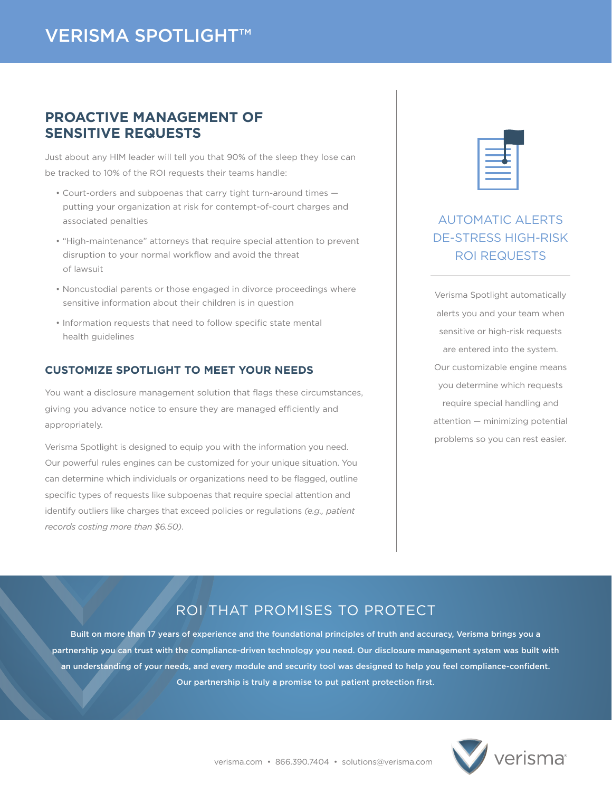## **PROACTIVE MANAGEMENT OF SENSITIVE REQUESTS**

Just about any HIM leader will tell you that 90% of the sleep they lose can be tracked to 10% of the ROI requests their teams handle:

- Court-orders and subpoenas that carry tight turn-around times putting your organization at risk for contempt-of-court charges and associated penalties
- "High-maintenance" attorneys that require special attention to prevent disruption to your normal workflow and avoid the threat of lawsuit
- Noncustodial parents or those engaged in divorce proceedings where sensitive information about their children is in question
- Information requests that need to follow specific state mental health guidelines

#### **CUSTOMIZE SPOTLIGHT TO MEET YOUR NEEDS**

You want a disclosure management solution that flags these circumstances, giving you advance notice to ensure they are managed efficiently and appropriately.

Verisma Spotlight is designed to equip you with the information you need. Our powerful rules engines can be customized for your unique situation. You can determine which individuals or organizations need to be flagged, outline specific types of requests like subpoenas that require special attention and identify outliers like charges that exceed policies or regulations *(e.g., patient records costing more than \$6.50)*.

| $\mathcal{L}(\mathcal{L})$ and $\mathcal{L}(\mathcal{L})$ and $\mathcal{L}(\mathcal{L})$ and $\mathcal{L}(\mathcal{L})$ and $\mathcal{L}(\mathcal{L})$ |  |
|--------------------------------------------------------------------------------------------------------------------------------------------------------|--|
| <b>Contract Contract Contract Contract Contract Contract Contract Contract Contract Contract Contract Contract Co</b>                                  |  |

# AUTOMATIC ALERTS DE-STRESS HIGH-RISK ROI REQUESTS

Verisma Spotlight automatically alerts you and your team when sensitive or high-risk requests are entered into the system. Our customizable engine means you determine which requests require special handling and attention — minimizing potential problems so you can rest easier.

## ROI THAT PROMISES TO PROTECT

Built on more than 17 years of experience and the foundational principles of truth and accuracy, Verisma brings you a partnership you can trust with the compliance-driven technology you need. Our disclosure management system was built with an understanding of your needs, and every module and security tool was designed to help you feel compliance-confident. Our partnership is truly a promise to put patient protection first.